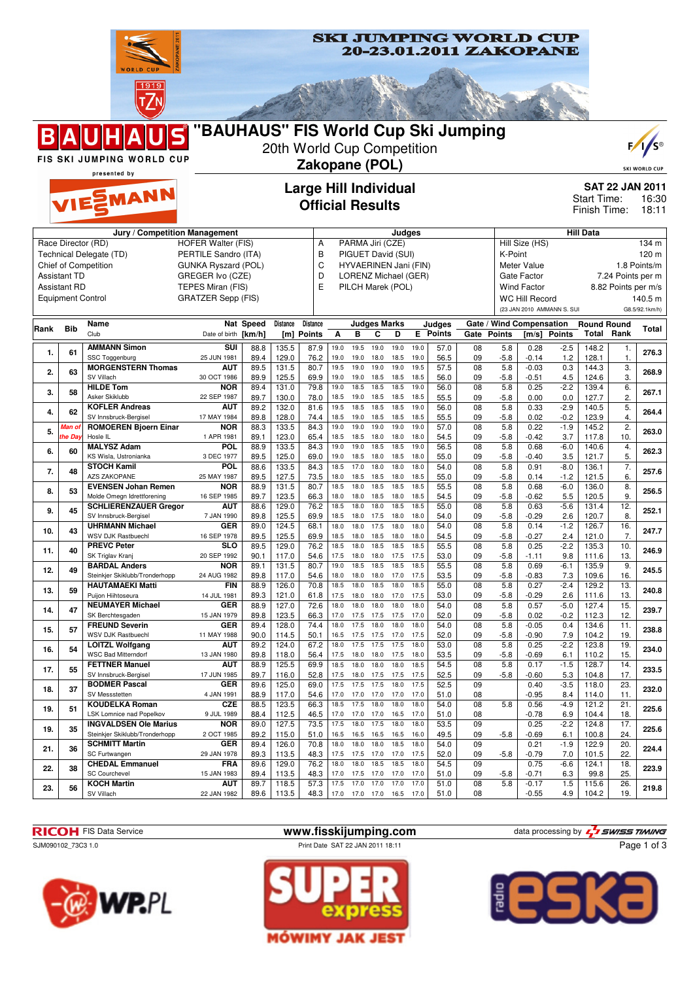

SJM090102\_73C3 1.0 Print Date SAT 22 JAN 2011 18:11

SV Villach

22 JAN 1982

## **RICOH** FIS Data Service **www.fisskijumping.com** data processing by  $\frac{7}{2}$  SWISS TIMING

89.6 | 113.5 | 48.3 | 17.0 17.0 17.0 16.5 17.0 | 51.0 | 08 | 0.55 4.9 | 104.2 | 19

**SKI JUMPING WORLD CUP** 







Page 1 of 3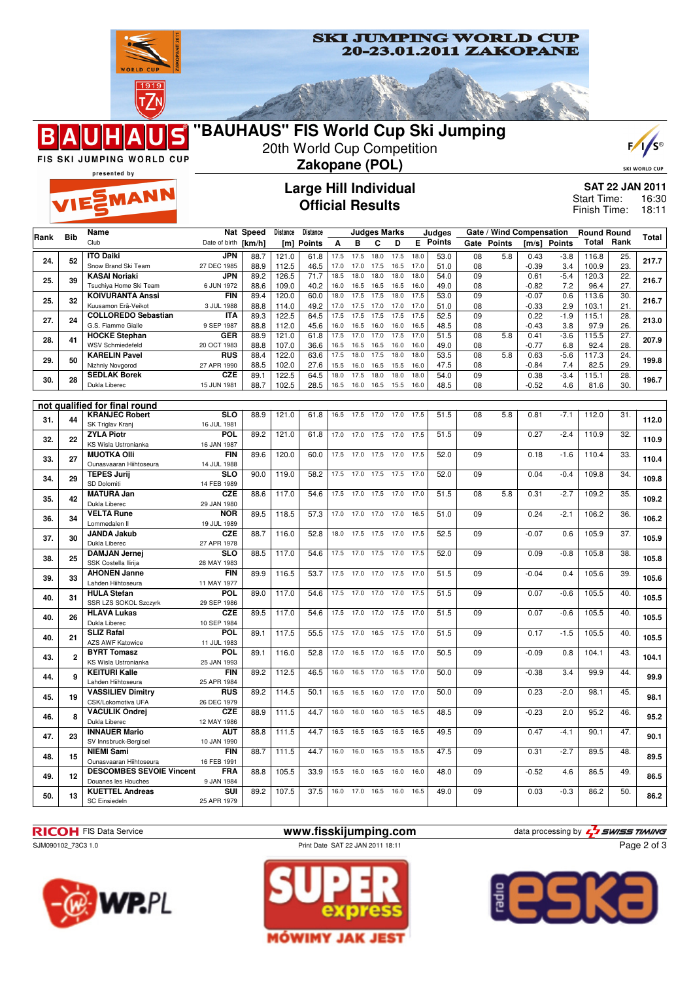



presented by EMANN

B

## **Large Hill Individual Official Results**



**SAT 22 JAN 2011** 16:30 18:11 Start Time: Finish Time:

|                               |                | Name                                              |                           | Nat Speed    | <b>Distance</b> | Distance     |              |              | <b>Judges Marks</b> |              |              | Judges          |                 | Gate / Wind Compensation |                    |               | <b>Round Round</b> |                 |       |
|-------------------------------|----------------|---------------------------------------------------|---------------------------|--------------|-----------------|--------------|--------------|--------------|---------------------|--------------|--------------|-----------------|-----------------|--------------------------|--------------------|---------------|--------------------|-----------------|-------|
| Rank                          | <b>Bib</b>     | Club                                              | Date of birth             | [km/h]       | [m]             | Points       | Α            | в            | С                   | D            |              | <b>E</b> Points | Gate            | <b>Points</b>            | [m/s]              | <b>Points</b> | Total              | Rank            | Total |
| 24.                           | 52             | <b>ITO Daiki</b>                                  | <b>JPN</b>                | 88.7         | 121.0           | 61.8         | 17.5         | 17.5         | 18.0                | 17.5         | 18.0         | 53.0            | $\overline{08}$ | 5.8                      | 0.43               | $-3.8$        | 116.8              | 25.             | 217.7 |
|                               |                | Snow Brand Ski Team                               | 27 DEC 1985               | 88.9         | 112.5           | 46.5         | 17.0         | 17.0         | 17.5                | 16.5         | 17.0         | 51.0            | 08              |                          | $-0.39$            | 3.4           | 100.9              | 23.             |       |
| 25.                           | 39             | <b>KASAI Noriaki</b>                              | <b>JPN</b>                | 89.2         | 126.5           | 71.7         | 18.5         | 18.0         | 18.0                | 18.0         | 18.0         | 54.0            | $\overline{09}$ |                          | 0.61               | $-5.4$        | 120.3              | $\overline{22}$ | 216.7 |
|                               |                | Tsuchiya Home Ski Team<br><b>KOIVURANTA Anssi</b> | 6 JUN 1972<br><b>FIN</b>  | 88.6         | 109.0           | 40.2<br>60.0 | 16.0         | 16.5         | 16.5                | 16.5         | 16.0         | 49.0            | 08<br>09        |                          | $-0.82$<br>$-0.07$ | 7.2           | 96.4               | 27.             |       |
| 25.                           | 32             | Kuusamon Erä-Veikot                               | 3 JUL 1988                | 89.4<br>88.8 | 120.0<br>114.0  | 49.2         | 18.0<br>17.0 | 17.5<br>17.5 | 17.5<br>17.0        | 18.0<br>17.0 | 17.5<br>17.0 | 53.0<br>51.0    | 08              |                          | $-0.33$            | 0.6<br>2.9    | 113.6<br>103.1     | 30.<br>21.      | 216.7 |
|                               |                | <b>COLLOREDO Sebastian</b>                        | <b>ITA</b>                | 89.3         | 122.5           | 64.5         | 17.5         | 17.5         | 17.5                | 17.5         | 17.5         | 52.5            | 09              |                          | 0.22               | $-1.9$        | 115.1              | 28.             |       |
| 27.                           | 24             | G.S. Fiamme Gialle                                | 9 SEP 1987                | 88.8         | 112.0           | 45.6         | 16.0         | 16.5         | 16.0                | 16.0         | 16.5         | 48.5            | 08              |                          | $-0.43$            | 3.8           | 97.9               | 26.             | 213.0 |
|                               |                | <b>HOCKE Stephan</b>                              | <b>GER</b>                | 88.9         | 121.0           | 61.8         | 17.5         | 17.0         | 17.0                | 17.5         | 17.0         | 51.5            | 08              | 5.8                      | 0.41               | $-3.6$        | 115.5              | 27.             |       |
| 28.                           | 41             | <b>WSV Schmiedefeld</b>                           | 20 OCT 1983               | 88.8         | 107.0           | 36.6         | 16.5         | 16.5         | 16.5                | 16.0         | 16.0         | 49.0            | 08              |                          | $-0.77$            | 6.8           | 92.4               | 28.             | 207.9 |
| 29.                           | 50             | <b>KARELIN Pavel</b>                              | <b>RUS</b>                | 88.4         | 122.0           | 63.6         | 17.5         | 18.0         | 17.5                | 18.0         | 18.0         | 53.5            | 08              | 5.8                      | 0.63               | $-5.6$        | 117.3              | 24.             | 199.8 |
|                               |                | Nizhniy Novgorod                                  | 27 APR 1990               | 88.5         | 102.0           | 27.6         | 15.5         | 16.0         | 16.5                | 15.5         | 16.0         | 47.5            | 08              |                          | $-0.84$            | 7.4           | 82.5               | 29.             |       |
| 30.                           | 28             | <b>SEDLAK Borek</b>                               | <b>CZE</b>                | 89.1         | 122.5           | 64.5         | 18.0         | 17.5         | 18.0                | 18.0         | 18.0         | 54.0            | 09              |                          | 0.38               | $-3.4$        | 115.1              | 28.             | 196.7 |
|                               |                | Dukla Liberec                                     | 15 JUN 1981               | 88.7         | 102.5           | 28.5         | 16.5         | 16.0         | 16.5                | 15.5         | 16.0         | 48.5            | 08              |                          | $-0.52$            | 4.6           | 81.6               | 30.             |       |
| not qualified for final round |                |                                                   |                           |              |                 |              |              |              |                     |              |              |                 |                 |                          |                    |               |                    |                 |       |
|                               | 44             | <b>KRANJEC Robert</b>                             | <b>SLO</b>                | 88.9         | 121.0           | 61.8         | 16.5         | 17.5         | 17.0                | 17.0         | 17.5         | 51.5            | 08              | 5.8                      | 0.81               | $-7.1$        | 112.0              | 31.             |       |
| 31.                           |                | SK Triglav Kranj                                  | 16 JUL 1981               |              |                 |              |              |              |                     |              |              |                 |                 |                          |                    |               |                    |                 | 112.0 |
| 32.                           | 22             | <b>ZYLA Piotr</b>                                 | <b>POL</b>                | 89.2         | 121.0           | 61.8         | 17.0         | 17.0         | 17.5                | 17.0         | 17.5         | 51.5            | $\overline{09}$ |                          | 0.27               | $-2.4$        | 110.9              | $\overline{32}$ | 110.9 |
|                               |                | KS Wisla Ustronianka                              | 16 JAN 1987               |              |                 |              |              |              |                     |              |              |                 |                 |                          |                    |               |                    |                 |       |
| 33.                           | 27             | <b>MUOTKA OIII</b>                                | <b>FIN</b>                | 89.6         | 120.0           | 60.0         | 17.5         | 17.0         | 17.5                | 17.0         | 17.5         | 52.0            | 09              |                          | 0.18               | $-1.6$        | 110.4              | 33.             | 110.4 |
|                               |                | Ounasvaaran Hiihtoseura                           | 14 JUL 1988               |              |                 |              |              |              |                     |              |              |                 |                 |                          |                    |               |                    |                 |       |
| 34.                           | 29             | <b>TEPES Jurij</b><br>SD Dolomiti                 | <b>SLO</b><br>14 FEB 1989 | 90.0         | 119.0           | 58.2         | 17.5         | 17.0         | 17.5                | 17.5         | 17.0         | 52.0            | 09              |                          | 0.04               | $-0.4$        | 109.8              | 34.             | 109.8 |
| 35.                           | 42             | <b>MATURA Jan</b>                                 | <b>CZE</b>                | 88.6         | 117.0           | 54.6         | 17.5         | 17.0         | 17.5                | 17.0         | 17.0         | 51.5            | 08              | 5.8                      | 0.31               | $-2.7$        | 109.2              | 35.             |       |
|                               |                | Dukla Liberec                                     | 29 JAN 1980               |              |                 |              |              |              |                     |              |              |                 |                 |                          |                    |               |                    |                 | 109.2 |
|                               |                | <b>VELTA Rune</b>                                 | <b>NOR</b>                | 89.5         | 118.5           | 57.3         | 17.0         | 17.0         | 17.0                | 17.0         | 16.5         | 51.0            | 09              |                          | 0.24               | $-2.1$        | 106.2              | 36.             |       |
| 36.                           | 34             | Lommedalen II                                     | 19 JUL 1989               |              |                 |              |              |              |                     |              |              |                 |                 |                          |                    |               |                    |                 | 106.2 |
| 37.                           | 30             | <b>JANDA Jakub</b>                                | <b>CZE</b>                | 88.7         | 116.0           | 52.8         | 18.0         | 17.5         | 17.5                | 17.0         | 17.5         | 52.5            | 09              |                          | $-0.07$            | 0.6           | 105.9              | 37.             | 105.9 |
|                               |                | Dukla Liberec                                     | 27 APR 1978               |              |                 |              |              |              |                     |              |              |                 |                 |                          |                    |               |                    |                 |       |
| 38.                           | 25             | <b>DAMJAN Jernej</b>                              | <b>SLO</b>                | 88.5         | 117.0           | 54.6         | 17.5         | 17.0         | 17.5                | 17.0         | 17.5         | 52.0            | 09              |                          | 0.09               | $-0.8$        | 105.8              | $\overline{38}$ | 105.8 |
|                               |                | SSK Costella Ilirija<br><b>AHONEN Janne</b>       | 28 MAY 1983<br><b>FIN</b> | 89.9         | 116.5           | 53.7         | 17.5         | 17.0         | 17.0                | 17.5         | 17.0         | 51.5            | 09              |                          | $-0.04$            | 0.4           | 105.6              | 39.             |       |
| 39.                           | 33             | Lahden Hiihtoseura                                | 11 MAY 1977               |              |                 |              |              |              |                     |              |              |                 |                 |                          |                    |               |                    |                 | 105.6 |
|                               |                | <b>HULA Stefan</b>                                | <b>POL</b>                | 89.0         | 117.0           | 54.6         | 17.5         | 17.0         | 17.0                | 17.0         | 17.5         | 51.5            | 09              |                          | 0.07               | $-0.6$        | 105.5              | 40.             |       |
| 40.                           | 31             | SSR LZS SOKOL Szczyrk                             | 29 SEP 1986               |              |                 |              |              |              |                     |              |              |                 |                 |                          |                    |               |                    |                 | 105.5 |
| 40.                           | 26             | <b>HLAVA Lukas</b>                                | <b>CZE</b>                | 89.5         | 117.0           | 54.6         | 17.5         | 17.0         | 17.0                | 17.5         | 17.0         | 51.5            | 09              |                          | 0.07               | $-0.6$        | 105.5              | 40.             | 105.5 |
|                               |                | Dukla Liberec                                     | 10 SEP 1984               |              |                 |              |              |              |                     |              |              |                 |                 |                          |                    |               |                    |                 |       |
| 40.                           | 21             | <b>SLIZ Rafal</b>                                 | <b>POL</b>                | 89.1         | 117.5           | 55.5         | 17.5         | 17.0         | 16.5                | 17.5         | 17.0         | 51.5            | 09              |                          | 0.17               | $-1.5$        | 105.5              | 40.             | 105.5 |
|                               |                | <b>AZS AWF Katowice</b><br><b>BYRT Tomasz</b>     | 11 JUL 1983               |              |                 |              |              |              | 17.0                |              | 17.0         |                 |                 |                          |                    |               |                    |                 |       |
| 43.                           | $\overline{2}$ | KS Wisla Ustronianka                              | POL<br>25 JAN 1993        | 89.1         | 116.0           | 52.8         | 17.0         | 16.5         |                     | 16.5         |              | 50.5            | 09              |                          | $-0.09$            | 0.8           | 104.1              | 43.             | 104.1 |
|                               |                | <b>KEITURI Kalle</b>                              | <b>FIN</b>                | 89.2         | 112.5           | 46.5         | 16.0         | 16.5         | 17.0                | 16.5         | 17.0         | 50.0            | 09              |                          | $-0.38$            | 3.4           | 99.9               | 44.             |       |
| 44.                           | 9              | Lahden Hiihtoseura                                | 25 APR 1984               |              |                 |              |              |              |                     |              |              |                 |                 |                          |                    |               |                    |                 | 99.9  |
|                               | 19             | <b>VASSILIEV Dimitry</b>                          | <b>RUS</b>                | 89.2         | 114.5           | 50.1         | 16.5         | 16.5         | 16.0                | 17.0         | 17.0         | 50.0            | 09              |                          | 0.23               | $-2.0$        | 98.1               | 45.             | 98.1  |
| 45.                           |                | CSK/Lokomotiva UFA                                | 26 DEC 1979               |              |                 |              |              |              |                     |              |              |                 |                 |                          |                    |               |                    |                 |       |
| 46.                           | 8              | <b>VACULIK Ondrej</b>                             | <b>CZE</b>                | 88.9         | 111.5           | 44.7         | 16.0         | 16.0         | 16.0                | 16.5         | 16.5         | 48.5            | 09              |                          | $-0.23$            | 2.0           | 95.2               | 46.             | 95.2  |
|                               |                | Dukla Liberec                                     | 12 MAY 1986               |              |                 |              |              |              |                     |              |              |                 |                 |                          |                    |               |                    |                 |       |
| 47.                           | 23             | <b>INNAUER Mario</b>                              | <b>AUT</b>                | 88.8         | 111.5           | 44.7         | 16.5         | 16.5         | 16.5                | 16.5         | 16.5         | 49.5            | 09              |                          | 0.47               | $-4.1$        | 90.1               | 47.             | 90.1  |
| 48.<br>49.                    |                | SV Innsbruck-Bergisel<br><b>NIEMI Sami</b>        | 10 JAN 1990<br><b>FIN</b> | 88.7         | 111.5           | 44.7         | 16.0         | 16.0         | 16.5                | 15.5         | 15.5         | 47.5            | 09              |                          | 0.31               | $-2.7$        | 89.5               | 48.             |       |
|                               | 15             | Ounasvaaran Hiihtoseura                           | 16 FEB 1991               |              |                 |              |              |              |                     |              |              |                 |                 |                          |                    |               |                    |                 | 89.5  |
|                               |                | <b>DESCOMBES SEVOIE Vincent</b>                   | <b>FRA</b>                | 88.8         | 105.5           | 33.9         | 15.5         | 16.0         | 16.5                | 16.0         | 16.0         | 48.0            | 09              |                          | $-0.52$            | 4.6           | 86.5               | 49.             |       |
|                               | 12             | Douanes les Houches                               | 9 JAN 1984                |              |                 |              |              |              |                     |              |              |                 |                 |                          |                    |               |                    |                 | 86.5  |
| 50.                           | 13             | <b>KUETTEL Andreas</b>                            | SUI                       | 89.2         | 107.5           | 37.5         | 16.0         | 17.0         | 16.5                | 16.0         | 16.5         | 49.0            | 09              |                          | 0.03               | $-0.3$        | 86.2               | 50.             | 86.2  |
|                               |                | <b>SC Einsiedeln</b>                              | 25 APR 1979               |              |                 |              |              |              |                     |              |              |                 |                 |                          |                    |               |                    |                 |       |
|                               |                |                                                   |                           |              |                 |              |              |              |                     |              |              |                 |                 |                          |                    |               |                    |                 |       |

**RICOH** FIS Data Service **www.fisskijumping.com** data processing by  $\frac{7}{2}$  SWISS TIMING









Page 2 of 3